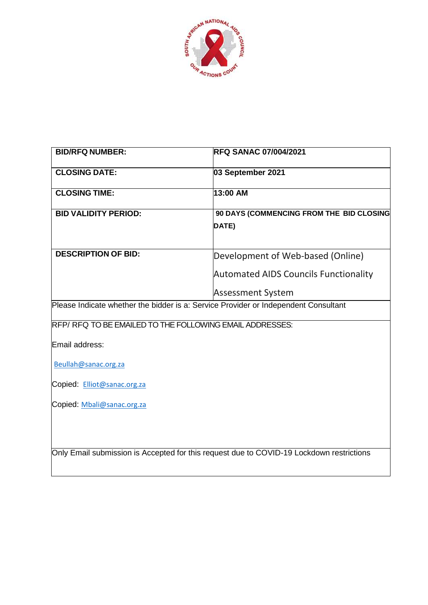

| <b>BID/RFQ NUMBER:</b>                                                                   | <b>RFQ SANAC 07/004/2021</b>                 |
|------------------------------------------------------------------------------------------|----------------------------------------------|
| <b>CLOSING DATE:</b>                                                                     | 03 September 2021                            |
| <b>CLOSING TIME:</b>                                                                     | 13:00 AM                                     |
| <b>BID VALIDITY PERIOD:</b>                                                              | 90 DAYS (COMMENCING FROM THE BID CLOSING     |
|                                                                                          | DATE)                                        |
| <b>DESCRIPTION OF BID:</b>                                                               | Development of Web-based (Online)            |
|                                                                                          | <b>Automated AIDS Councils Functionality</b> |
|                                                                                          | <b>Assessment System</b>                     |
| Please Indicate whether the bidder is a: Service Provider or Independent Consultant      |                                              |
| RFP/RFQ TO BE EMAILED TO THE FOLLOWING EMAIL ADDRESSES:                                  |                                              |
| Email address:                                                                           |                                              |
| Beullah@sanac.org.za                                                                     |                                              |
| Copied: Elliot@sanac.org.za                                                              |                                              |
| Copied: Mbali@sanac.org.za                                                               |                                              |
|                                                                                          |                                              |
|                                                                                          |                                              |
| Only Email submission is Accepted for this request due to COVID-19 Lockdown restrictions |                                              |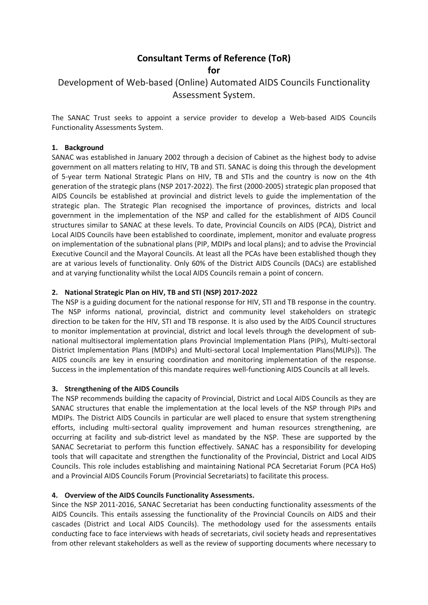# **Consultant Terms of Reference (ToR)**

**for**

# Development of Web-based (Online) Automated AIDS Councils Functionality Assessment System.

The SANAC Trust seeks to appoint a service provider to develop a Web-based AIDS Councils Functionality Assessments System.

### **1. Background**

SANAC was established in January 2002 through a decision of Cabinet as the highest body to advise government on all matters relating to HIV, TB and STI. SANAC is doing this through the development of 5-year term National Strategic Plans on HIV, TB and STIs and the country is now on the 4th generation of the strategic plans (NSP 2017-2022). The first (2000-2005) strategic plan proposed that AIDS Councils be established at provincial and district levels to guide the implementation of the strategic plan. The Strategic Plan recognised the importance of provinces, districts and local government in the implementation of the NSP and called for the establishment of AIDS Council structures similar to SANAC at these levels. To date, Provincial Councils on AIDS (PCA), District and Local AIDS Councils have been established to coordinate, implement, monitor and evaluate progress on implementation of the subnational plans (PIP, MDIPs and local plans); and to advise the Provincial Executive Council and the Mayoral Councils. At least all the PCAs have been established though they are at various levels of functionality. Only 60% of the District AIDS Councils (DACs) are established and at varying functionality whilst the Local AIDS Councils remain a point of concern.

### **2. National Strategic Plan on HIV, TB and STI (NSP) 2017-2022**

The NSP is a guiding document for the national response for HIV, STI and TB response in the country. The NSP informs national, provincial, district and community level stakeholders on strategic direction to be taken for the HIV, STI and TB response. It is also used by the AIDS Council structures to monitor implementation at provincial, district and local levels through the development of subnational multisectoral implementation plans Provincial Implementation Plans (PIPs), Multi-sectoral District Implementation Plans (MDIPs) and Multi-sectoral Local Implementation Plans(MLIPs)). The AIDS councils are key in ensuring coordination and monitoring implementation of the response. Success in the implementation of this mandate requires well-functioning AIDS Councils at all levels.

## **3. Strengthening of the AIDS Councils**

The NSP recommends building the capacity of Provincial, District and Local AIDS Councils as they are SANAC structures that enable the implementation at the local levels of the NSP through PIPs and MDIPs. The District AIDS Councils in particular are well placed to ensure that system strengthening efforts, including multi-sectoral quality improvement and human resources strengthening, are occurring at facility and sub-district level as mandated by the NSP. These are supported by the SANAC Secretariat to perform this function effectively. SANAC has a responsibility for developing tools that will capacitate and strengthen the functionality of the Provincial, District and Local AIDS Councils. This role includes establishing and maintaining National PCA Secretariat Forum (PCA HoS) and a Provincial AIDS Councils Forum (Provincial Secretariats) to facilitate this process.

## **4. Overview of the AIDS Councils Functionality Assessments.**

Since the NSP 2011-2016, SANAC Secretariat has been conducting functionality assessments of the AIDS Councils. This entails assessing the functionality of the Provincial Councils on AIDS and their cascades (District and Local AIDS Councils). The methodology used for the assessments entails conducting face to face interviews with heads of secretariats, civil society heads and representatives from other relevant stakeholders as well as the review of supporting documents where necessary to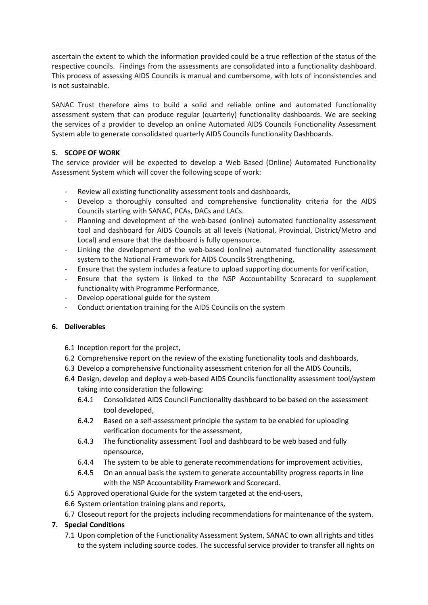ascertain the extent to which the information provided could be a true reflection of the status of the respective councils. Findings from the assessments are consolidated into a functionality dashboard. This process of assessing AIDS Councils is manual and cumbersome, with lots of inconsistencies and is not sustainable.

SANAC Trust therefore aims to build a solid and reliable online and automated functionality assessment system that can produce regular (quarterly) functionality dashboards. We are seeking the services of a provider to develop an online Automated AIDS Councils Functionality Assessment System able to generate consolidated quarterly AIDS Councils functionality Dashboards.

# **5. SCOPE OF WORK**

The service provider will be expected to develop a Web Based (Online) Automated Functionality Assessment System which will cover the following scope of work:

- Review all existing functionality assessment tools and dashboards,
- Develop a thoroughly consulted and comprehensive functionality criteria for the AIDS Councils starting with SANAC, PCAs, DACs and LACs.
- Planning and development of the web-based (online) automated functionality assessment tool and dashboard for AIDS Councils at all levels (National, Provincial, District/Metro and Local) and ensure that the dashboard is fully opensource.
- Linking the development of the web-based (online) automated functionality assessment system to the National Framework for AIDS Councils Strengthening,
- Ensure that the system includes a feature to upload supporting documents for verification,
- Ensure that the system is linked to the NSP Accountability Scorecard to supplement functionality with Programme Performance,
- Develop operational guide for the system
- Conduct orientation training for the AIDS Councils on the system

## **6. Deliverables**

- 6.1 Inception report for the project,
- 6.2 Comprehensive report on the review of the existing functionality tools and dashboards,
- 6.3 Develop a comprehensive functionality assessment criterion for all the AIDS Councils,
- 6.4 Design, develop and deploy a web-based AIDS Councils functionality assessment tool/system taking into consideration the following:
	- 6.4.1 Consolidated AIDS Council Functionality dashboard to be based on the assessment tool developed,
	- 6.4.2 Based on a self-assessment principle the system to be enabled for uploading verification documents for the assessment,
	- 6.4.3 The functionality assessment Tool and dashboard to be web based and fully opensource,
	- 6.4.4 The system to be able to generate recommendations for improvement activities,
	- 6.4.5 On an annual basis the system to generate accountability progress reports in line with the NSP Accountability Framework and Scorecard.
- 6.5 Approved operational Guide for the system targeted at the end-users,
- 6.6 System orientation training plans and reports,
- 6.7 Closeout report for the projects including recommendations for maintenance of the system.

# **7. Special Conditions**

7.1 Upon completion of the Functionality Assessment System, SANAC to own all rights and titles to the system including source codes. The successful service provider to transfer all rights on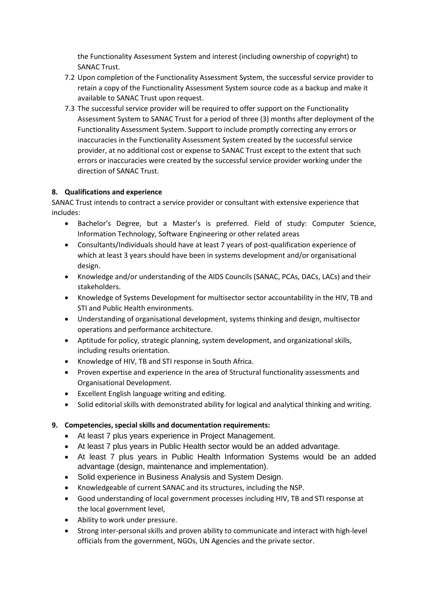the Functionality Assessment System and interest (including ownership of copyright) to SANAC Trust.

- 7.2 Upon completion of the Functionality Assessment System, the successful service provider to retain a copy of the Functionality Assessment System source code as a backup and make it available to SANAC Trust upon request.
- 7.3 The successful service provider will be required to offer support on the Functionality Assessment System to SANAC Trust for a period of three (3) months after deployment of the Functionality Assessment System. Support to include promptly correcting any errors or inaccuracies in the Functionality Assessment System created by the successful service provider, at no additional cost or expense to SANAC Trust except to the extent that such errors or inaccuracies were created by the successful service provider working under the direction of SANAC Trust.

# **8. Qualifications and experience**

SANAC Trust intends to contract a service provider or consultant with extensive experience that includes:

- Bachelor's Degree, but a Master's is preferred. Field of study: Computer Science, Information Technology, Software Engineering or other related areas
- Consultants/Individuals should have at least 7 years of post-qualification experience of which at least 3 years should have been in systems development and/or organisational design.
- Knowledge and/or understanding of the AIDS Councils (SANAC, PCAs, DACs, LACs) and their stakeholders.
- Knowledge of Systems Development for multisector sector accountability in the HIV, TB and STI and Public Health environments.
- Understanding of organisational development, systems thinking and design, multisector operations and performance architecture.
- Aptitude for policy, strategic planning, system development, and organizational skills, including results orientation.
- Knowledge of HIV, TB and STI response in South Africa.
- Proven expertise and experience in the area of Structural functionality assessments and Organisational Development.
- Excellent English language writing and editing.
- Solid editorial skills with demonstrated ability for logical and analytical thinking and writing.

## **9. Competencies, special skills and documentation requirements:**

- At least 7 plus years experience in Project Management.
- At least 7 plus years in Public Health sector would be an added advantage.
- At least 7 plus years in Public Health Information Systems would be an added advantage (design, maintenance and implementation).
- Solid experience in Business Analysis and System Design.
- Knowledgeable of current SANAC and its structures, including the NSP.
- Good understanding of local government processes including HIV, TB and STI response at the local government level,
- Ability to work under pressure.
- Strong inter-personal skills and proven ability to communicate and interact with high-level officials from the government, NGOs, UN Agencies and the private sector.